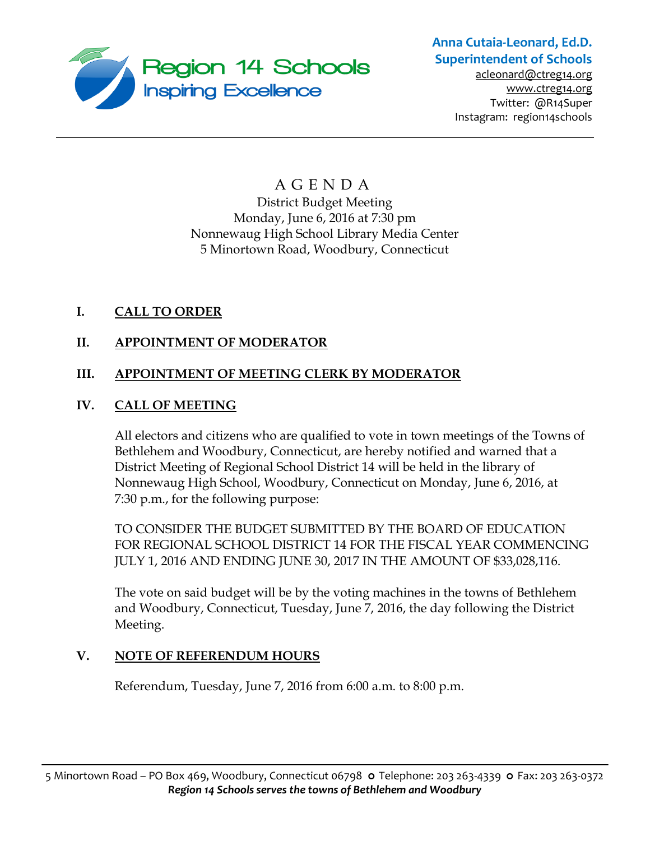

# **Anna Cutaia-Leonard, Ed.D. Superintendent of Schools**

[acleonard@ctreg14.org](mailto:acleonard@ctreg14.org) [www.ctreg14.org](http://www.ctreg14.org/) Twitter: @R14Super Instagram: region14schools

## A G E N D A District Budget Meeting Monday, June 6, 2016 at 7:30 pm Nonnewaug High School Library Media Center 5 Minortown Road, Woodbury, Connecticut

## **I. CALL TO ORDER**

## **II. APPOINTMENT OF MODERATOR**

## **III. APPOINTMENT OF MEETING CLERK BY MODERATOR**

## **IV. CALL OF MEETING**

All electors and citizens who are qualified to vote in town meetings of the Towns of Bethlehem and Woodbury, Connecticut, are hereby notified and warned that a District Meeting of Regional School District 14 will be held in the library of Nonnewaug High School, Woodbury, Connecticut on Monday, June 6, 2016, at 7:30 p.m., for the following purpose:

TO CONSIDER THE BUDGET SUBMITTED BY THE BOARD OF EDUCATION FOR REGIONAL SCHOOL DISTRICT 14 FOR THE FISCAL YEAR COMMENCING JULY 1, 2016 AND ENDING JUNE 30, 2017 IN THE AMOUNT OF \$33,028,116.

The vote on said budget will be by the voting machines in the towns of Bethlehem and Woodbury, Connecticut, Tuesday, June 7, 2016, the day following the District Meeting.

#### **V. NOTE OF REFERENDUM HOURS**

Referendum, Tuesday, June 7, 2016 from 6:00 a.m. to 8:00 p.m.